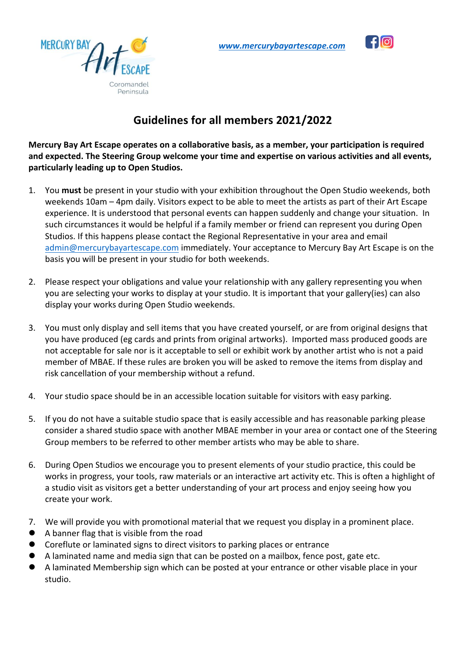



## **Guidelines for all members 2021/2022**

**Mercury Bay Art Escape operates on a collaborative basis, as a member, your participation is required** and expected. The Steering Group welcome your time and expertise on various activities and all events, particularly leading up to Open Studios.

- 1. You must be present in your studio with your exhibition throughout the Open Studio weekends, both weekends 10am – 4pm daily. Visitors expect to be able to meet the artists as part of their Art Escape experience. It is understood that personal events can happen suddenly and change your situation. In such circumstances it would be helpful if a family member or friend can represent you during Open Studios. If this happens please contact the Regional Representative in your area and email admin@mercurybayartescape.com immediately. Your acceptance to Mercury Bay Art Escape is on the basis you will be present in your studio for both weekends.
- 2. Please respect your obligations and value your relationship with any gallery representing you when you are selecting your works to display at your studio. It is important that your gallery(ies) can also display your works during Open Studio weekends.
- 3. You must only display and sell items that you have created yourself, or are from original designs that you have produced (eg cards and prints from original artworks). Imported mass produced goods are not acceptable for sale nor is it acceptable to sell or exhibit work by another artist who is not a paid member of MBAE. If these rules are broken you will be asked to remove the items from display and risk cancellation of your membership without a refund.
- 4. Your studio space should be in an accessible location suitable for visitors with easy parking.
- 5. If you do not have a suitable studio space that is easily accessible and has reasonable parking please consider a shared studio space with another MBAE member in your area or contact one of the Steering Group members to be referred to other member artists who may be able to share.
- 6. During Open Studios we encourage you to present elements of your studio practice, this could be works in progress, your tools, raw materials or an interactive art activity etc. This is often a highlight of a studio visit as visitors get a better understanding of your art process and enjoy seeing how you create your work.
- 7. We will provide you with promotional material that we request you display in a prominent place.
- $\bullet$  A banner flag that is visible from the road
- Coreflute or laminated signs to direct visitors to parking places or entrance
- A laminated name and media sign that can be posted on a mailbox, fence post, gate etc.
- A laminated Membership sign which can be posted at your entrance or other visable place in your studio.